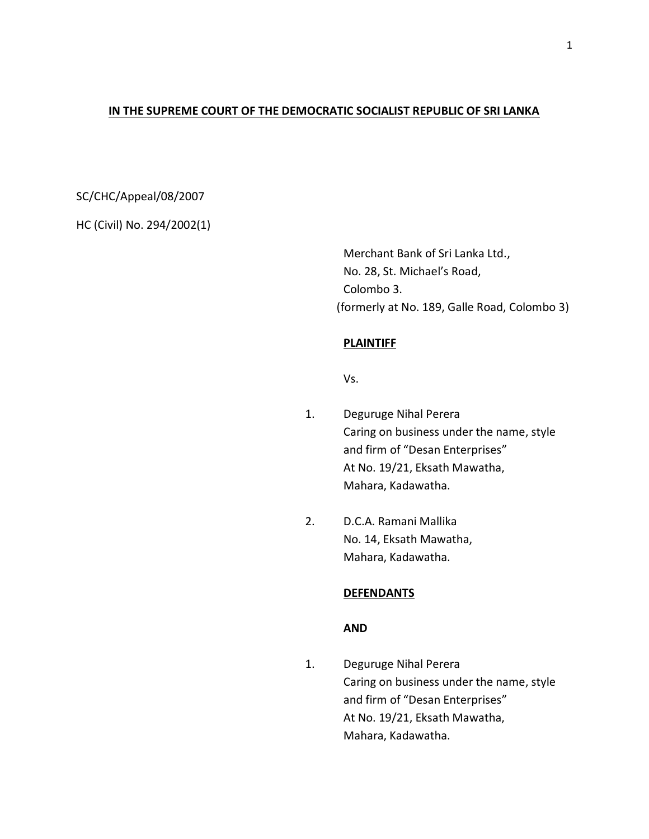# **IN THE SUPREME COURT OF THE DEMOCRATIC SOCIALIST REPUBLIC OF SRI LANKA**

# SC/CHC/Appeal/08/2007

HC (Civil) No. 294/2002(1)

Merchant Bank of Sri Lanka Ltd., No. 28, St. Michael's Road, Colombo 3. (formerly at No. 189, Galle Road, Colombo 3)

## **PLAINTIFF**

Vs.

- 1. Deguruge Nihal Perera Caring on business under the name, style and firm of "Desan Enterprises" At No. 19/21, Eksath Mawatha, Mahara, Kadawatha.
- 2. D.C.A. Ramani Mallika No. 14, Eksath Mawatha, Mahara, Kadawatha.

#### **DEFENDANTS**

# **AND**

1. Deguruge Nihal Perera Caring on business under the name, style and firm of "Desan Enterprises" At No. 19/21, Eksath Mawatha, Mahara, Kadawatha.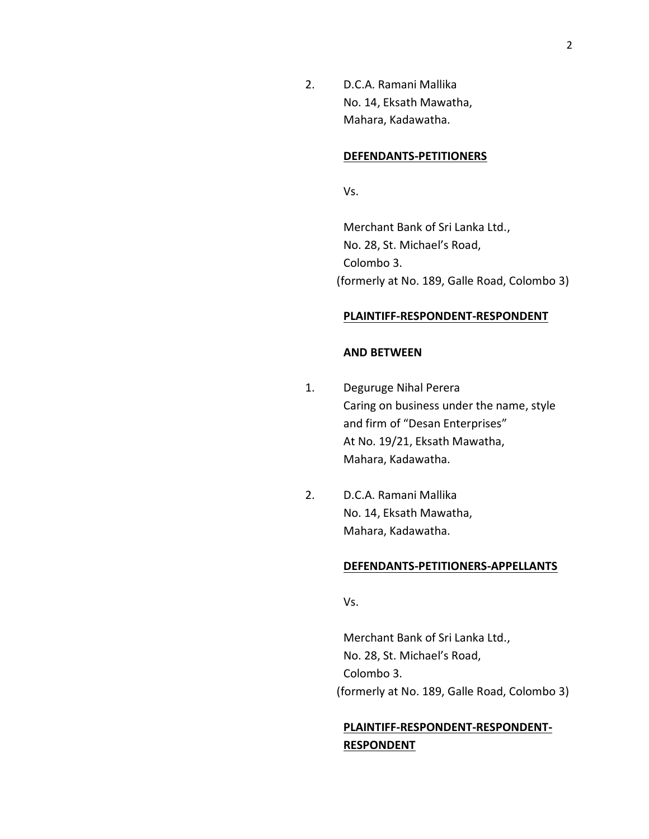2. D.C.A. Ramani Mallika No. 14, Eksath Mawatha, Mahara, Kadawatha.

#### **DEFENDANTS-PETITIONERS**

Vs.

Merchant Bank of Sri Lanka Ltd., No. 28, St. Michael's Road, Colombo 3. (formerly at No. 189, Galle Road, Colombo 3)

### **PLAINTIFF-RESPONDENT-RESPONDENT**

## **AND BETWEEN**

- 1. Deguruge Nihal Perera Caring on business under the name, style and firm of "Desan Enterprises" At No. 19/21, Eksath Mawatha, Mahara, Kadawatha.
- 2. D.C.A. Ramani Mallika No. 14, Eksath Mawatha, Mahara, Kadawatha.

#### **DEFENDANTS-PETITIONERS-APPELLANTS**

Vs.

Merchant Bank of Sri Lanka Ltd., No. 28, St. Michael's Road, Colombo 3. (formerly at No. 189, Galle Road, Colombo 3)

# **PLAINTIFF-RESPONDENT-RESPONDENT-RESPONDENT**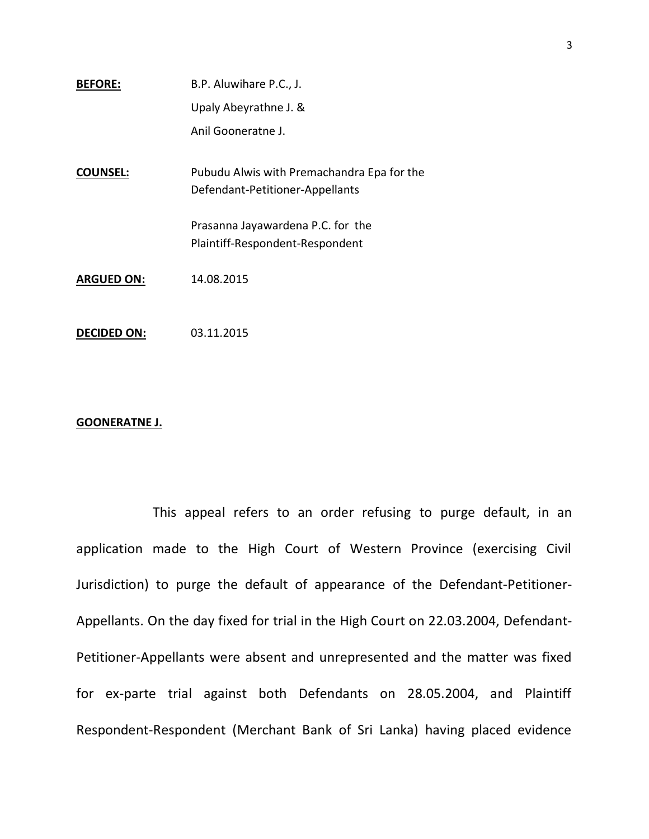| <b>BEFORE:</b> | B.P. Aluwihare P.C., J. |
|----------------|-------------------------|
|                | Upaly Abeyrathne J. &   |
|                | Anil Gooneratne J.      |
|                |                         |

**COUNSEL:** Pubudu Alwis with Premachandra Epa for the Defendant-Petitioner-Appellants

> Prasanna Jayawardena P.C. for the Plaintiff-Respondent-Respondent

**ARGUED ON:** 14.08.2015

**DECIDED ON:** 03.11.2015

#### **GOONERATNE J.**

This appeal refers to an order refusing to purge default, in an application made to the High Court of Western Province (exercising Civil Jurisdiction) to purge the default of appearance of the Defendant-Petitioner-Appellants. On the day fixed for trial in the High Court on 22.03.2004, Defendant-Petitioner-Appellants were absent and unrepresented and the matter was fixed for ex-parte trial against both Defendants on 28.05.2004, and Plaintiff Respondent-Respondent (Merchant Bank of Sri Lanka) having placed evidence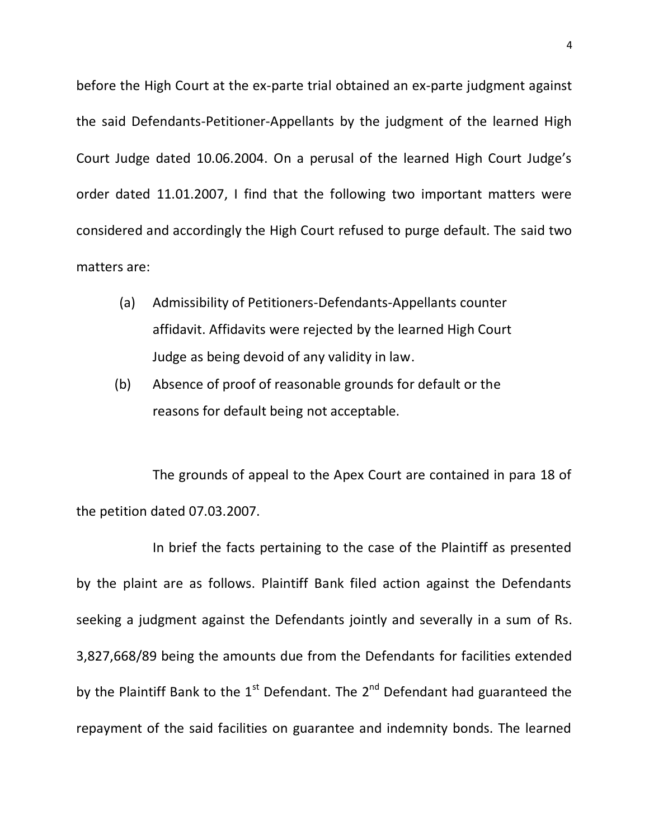before the High Court at the ex-parte trial obtained an ex-parte judgment against the said Defendants-Petitioner-Appellants by the judgment of the learned High Court Judge dated 10.06.2004. On a perusal of the learned High Court Judge's order dated 11.01.2007, I find that the following two important matters were considered and accordingly the High Court refused to purge default. The said two matters are:

- (a) Admissibility of Petitioners-Defendants-Appellants counter affidavit. Affidavits were rejected by the learned High Court Judge as being devoid of any validity in law.
- (b) Absence of proof of reasonable grounds for default or the reasons for default being not acceptable.

The grounds of appeal to the Apex Court are contained in para 18 of the petition dated 07.03.2007.

In brief the facts pertaining to the case of the Plaintiff as presented by the plaint are as follows. Plaintiff Bank filed action against the Defendants seeking a judgment against the Defendants jointly and severally in a sum of Rs. 3,827,668/89 being the amounts due from the Defendants for facilities extended by the Plaintiff Bank to the  $1<sup>st</sup>$  Defendant. The  $2<sup>nd</sup>$  Defendant had guaranteed the repayment of the said facilities on guarantee and indemnity bonds. The learned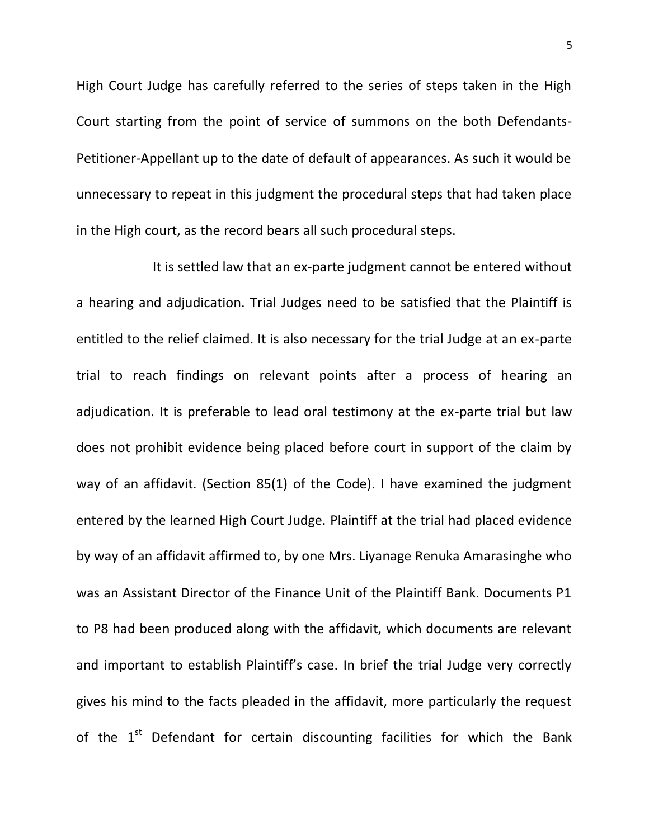High Court Judge has carefully referred to the series of steps taken in the High Court starting from the point of service of summons on the both Defendants-Petitioner-Appellant up to the date of default of appearances. As such it would be unnecessary to repeat in this judgment the procedural steps that had taken place in the High court, as the record bears all such procedural steps.

It is settled law that an ex-parte judgment cannot be entered without a hearing and adjudication. Trial Judges need to be satisfied that the Plaintiff is entitled to the relief claimed. It is also necessary for the trial Judge at an ex-parte trial to reach findings on relevant points after a process of hearing an adjudication. It is preferable to lead oral testimony at the ex-parte trial but law does not prohibit evidence being placed before court in support of the claim by way of an affidavit. (Section 85(1) of the Code). I have examined the judgment entered by the learned High Court Judge. Plaintiff at the trial had placed evidence by way of an affidavit affirmed to, by one Mrs. Liyanage Renuka Amarasinghe who was an Assistant Director of the Finance Unit of the Plaintiff Bank. Documents P1 to P8 had been produced along with the affidavit, which documents are relevant and important to establish Plaintiff's case. In brief the trial Judge very correctly gives his mind to the facts pleaded in the affidavit, more particularly the request of the  $1<sup>st</sup>$  Defendant for certain discounting facilities for which the Bank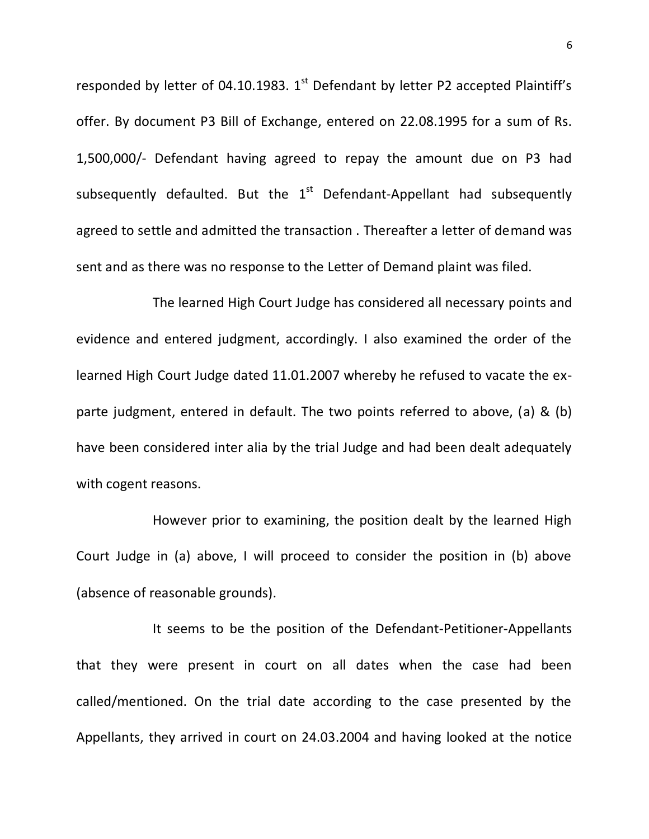responded by letter of 04.10.1983.  $1<sup>st</sup>$  Defendant by letter P2 accepted Plaintiff's offer. By document P3 Bill of Exchange, entered on 22.08.1995 for a sum of Rs. 1,500,000/- Defendant having agreed to repay the amount due on P3 had subsequently defaulted. But the  $1<sup>st</sup>$  Defendant-Appellant had subsequently agreed to settle and admitted the transaction . Thereafter a letter of demand was sent and as there was no response to the Letter of Demand plaint was filed.

The learned High Court Judge has considered all necessary points and evidence and entered judgment, accordingly. I also examined the order of the learned High Court Judge dated 11.01.2007 whereby he refused to vacate the exparte judgment, entered in default. The two points referred to above, (a) & (b) have been considered inter alia by the trial Judge and had been dealt adequately with cogent reasons.

However prior to examining, the position dealt by the learned High Court Judge in (a) above, I will proceed to consider the position in (b) above (absence of reasonable grounds).

It seems to be the position of the Defendant-Petitioner-Appellants that they were present in court on all dates when the case had been called/mentioned. On the trial date according to the case presented by the Appellants, they arrived in court on 24.03.2004 and having looked at the notice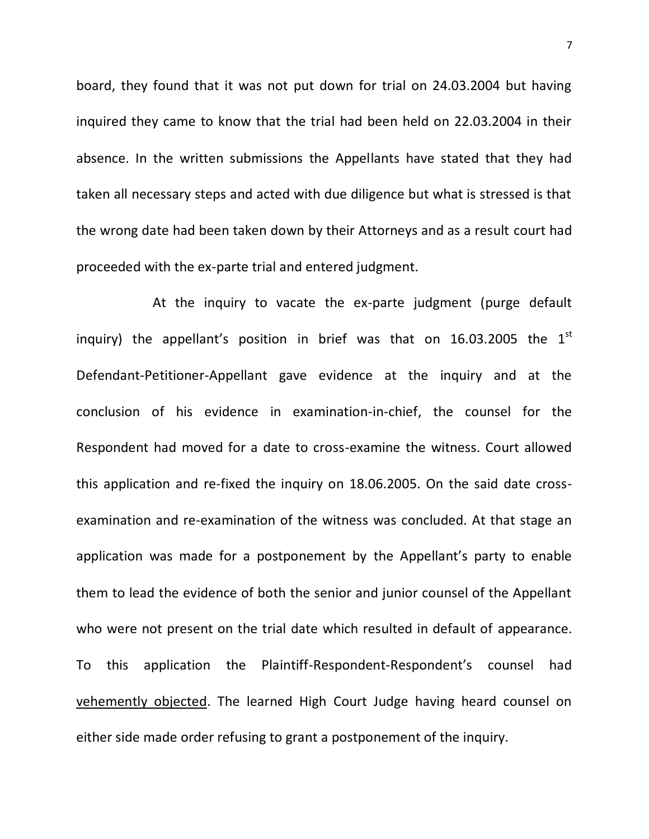board, they found that it was not put down for trial on 24.03.2004 but having inquired they came to know that the trial had been held on 22.03.2004 in their absence. In the written submissions the Appellants have stated that they had taken all necessary steps and acted with due diligence but what is stressed is that the wrong date had been taken down by their Attorneys and as a result court had proceeded with the ex-parte trial and entered judgment.

At the inquiry to vacate the ex-parte judgment (purge default inquiry) the appellant's position in brief was that on 16.03.2005 the  $1<sup>st</sup>$ Defendant-Petitioner-Appellant gave evidence at the inquiry and at the conclusion of his evidence in examination-in-chief, the counsel for the Respondent had moved for a date to cross-examine the witness. Court allowed this application and re-fixed the inquiry on 18.06.2005. On the said date crossexamination and re-examination of the witness was concluded. At that stage an application was made for a postponement by the Appellant's party to enable them to lead the evidence of both the senior and junior counsel of the Appellant who were not present on the trial date which resulted in default of appearance. To this application the Plaintiff-Respondent-Respondent's counsel had vehemently objected. The learned High Court Judge having heard counsel on either side made order refusing to grant a postponement of the inquiry.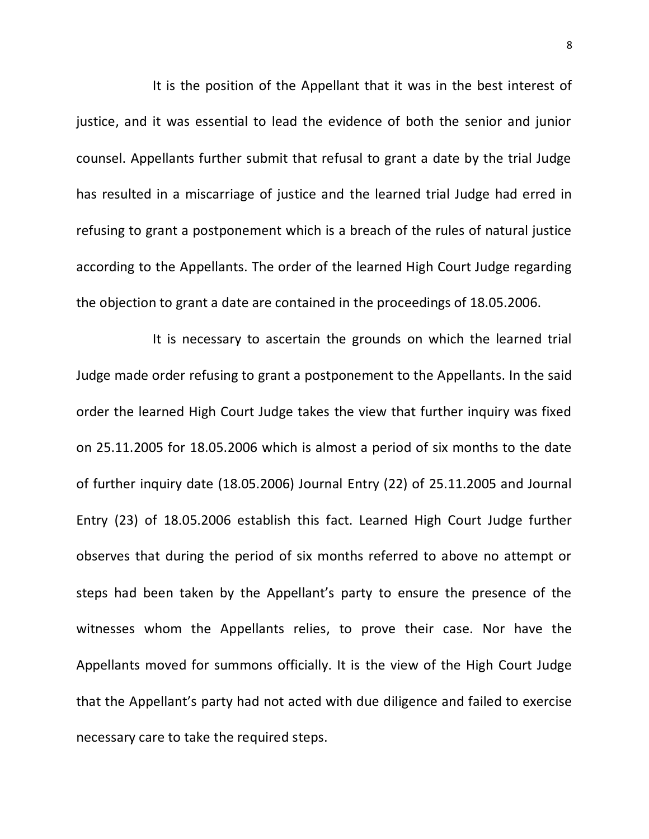It is the position of the Appellant that it was in the best interest of justice, and it was essential to lead the evidence of both the senior and junior counsel. Appellants further submit that refusal to grant a date by the trial Judge has resulted in a miscarriage of justice and the learned trial Judge had erred in refusing to grant a postponement which is a breach of the rules of natural justice according to the Appellants. The order of the learned High Court Judge regarding the objection to grant a date are contained in the proceedings of 18.05.2006.

It is necessary to ascertain the grounds on which the learned trial Judge made order refusing to grant a postponement to the Appellants. In the said order the learned High Court Judge takes the view that further inquiry was fixed on 25.11.2005 for 18.05.2006 which is almost a period of six months to the date of further inquiry date (18.05.2006) Journal Entry (22) of 25.11.2005 and Journal Entry (23) of 18.05.2006 establish this fact. Learned High Court Judge further observes that during the period of six months referred to above no attempt or steps had been taken by the Appellant's party to ensure the presence of the witnesses whom the Appellants relies, to prove their case. Nor have the Appellants moved for summons officially. It is the view of the High Court Judge that the Appellant's party had not acted with due diligence and failed to exercise necessary care to take the required steps.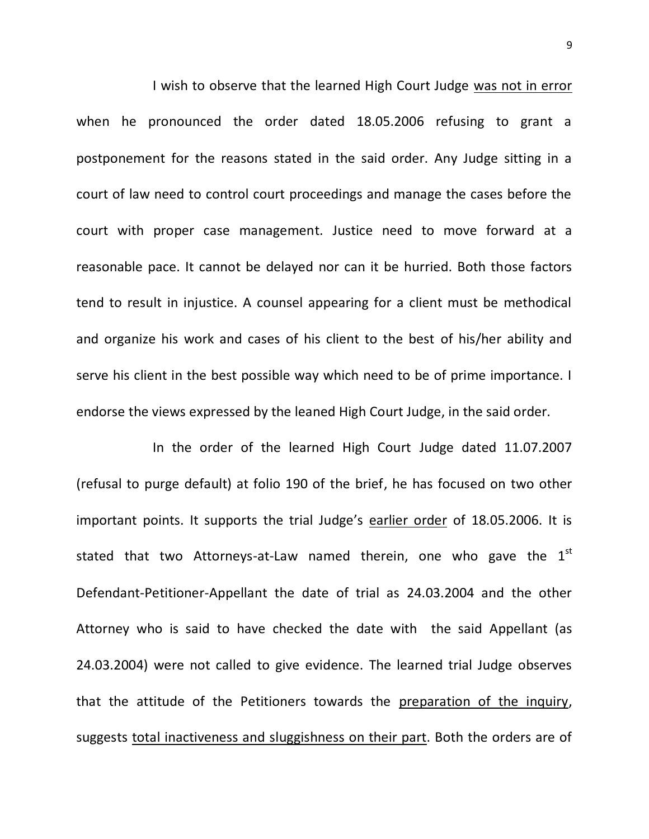I wish to observe that the learned High Court Judge was not in error when he pronounced the order dated 18.05.2006 refusing to grant a postponement for the reasons stated in the said order. Any Judge sitting in a court of law need to control court proceedings and manage the cases before the court with proper case management. Justice need to move forward at a reasonable pace. It cannot be delayed nor can it be hurried. Both those factors tend to result in injustice. A counsel appearing for a client must be methodical and organize his work and cases of his client to the best of his/her ability and serve his client in the best possible way which need to be of prime importance. I endorse the views expressed by the leaned High Court Judge, in the said order.

In the order of the learned High Court Judge dated 11.07.2007 (refusal to purge default) at folio 190 of the brief, he has focused on two other important points. It supports the trial Judge's earlier order of 18.05.2006. It is stated that two Attorneys-at-Law named therein, one who gave the  $1<sup>st</sup>$ Defendant-Petitioner-Appellant the date of trial as 24.03.2004 and the other Attorney who is said to have checked the date with the said Appellant (as 24.03.2004) were not called to give evidence. The learned trial Judge observes that the attitude of the Petitioners towards the preparation of the inquiry, suggests total inactiveness and sluggishness on their part. Both the orders are of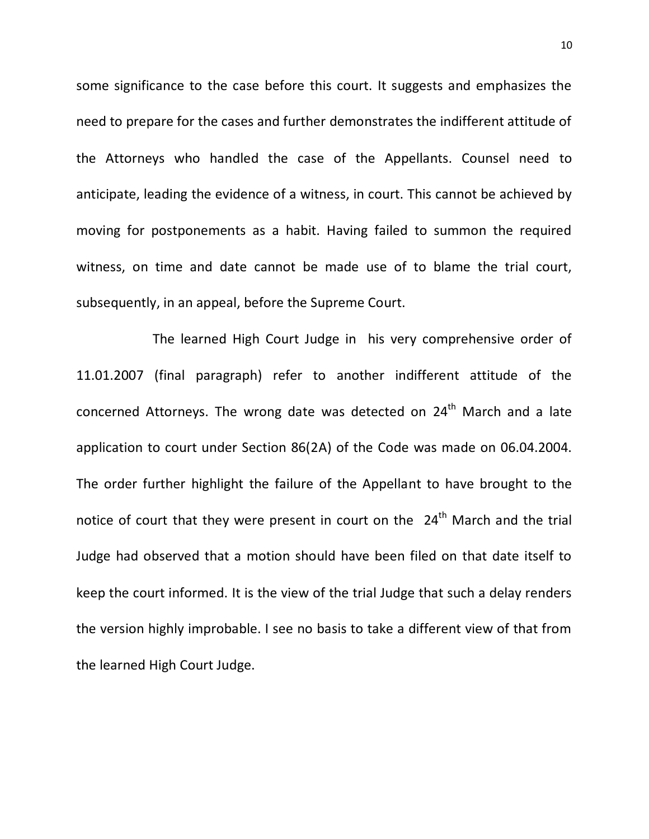some significance to the case before this court. It suggests and emphasizes the need to prepare for the cases and further demonstrates the indifferent attitude of the Attorneys who handled the case of the Appellants. Counsel need to anticipate, leading the evidence of a witness, in court. This cannot be achieved by moving for postponements as a habit. Having failed to summon the required witness, on time and date cannot be made use of to blame the trial court, subsequently, in an appeal, before the Supreme Court.

The learned High Court Judge in his very comprehensive order of 11.01.2007 (final paragraph) refer to another indifferent attitude of the concerned Attorneys. The wrong date was detected on 24<sup>th</sup> March and a late application to court under Section 86(2A) of the Code was made on 06.04.2004. The order further highlight the failure of the Appellant to have brought to the notice of court that they were present in court on the  $24<sup>th</sup>$  March and the trial Judge had observed that a motion should have been filed on that date itself to keep the court informed. It is the view of the trial Judge that such a delay renders the version highly improbable. I see no basis to take a different view of that from the learned High Court Judge.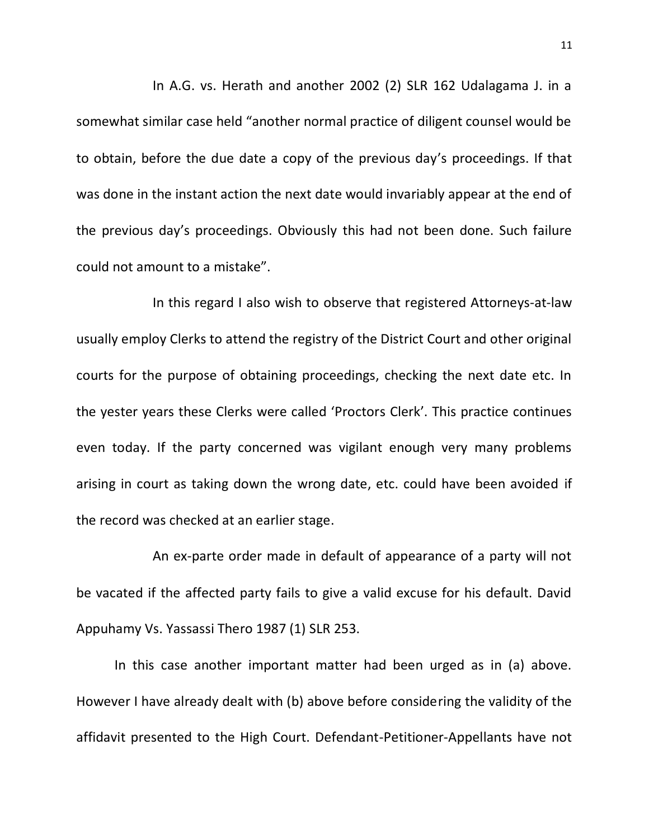In A.G. vs. Herath and another 2002 (2) SLR 162 Udalagama J. in a somewhat similar case held "another normal practice of diligent counsel would be to obtain, before the due date a copy of the previous day's proceedings. If that was done in the instant action the next date would invariably appear at the end of the previous day's proceedings. Obviously this had not been done. Such failure could not amount to a mistake".

In this regard I also wish to observe that registered Attorneys-at-law usually employ Clerks to attend the registry of the District Court and other original courts for the purpose of obtaining proceedings, checking the next date etc. In the yester years these Clerks were called 'Proctors Clerk'. This practice continues even today. If the party concerned was vigilant enough very many problems arising in court as taking down the wrong date, etc. could have been avoided if the record was checked at an earlier stage.

An ex-parte order made in default of appearance of a party will not be vacated if the affected party fails to give a valid excuse for his default. David Appuhamy Vs. Yassassi Thero 1987 (1) SLR 253.

In this case another important matter had been urged as in (a) above. However I have already dealt with (b) above before considering the validity of the affidavit presented to the High Court. Defendant-Petitioner-Appellants have not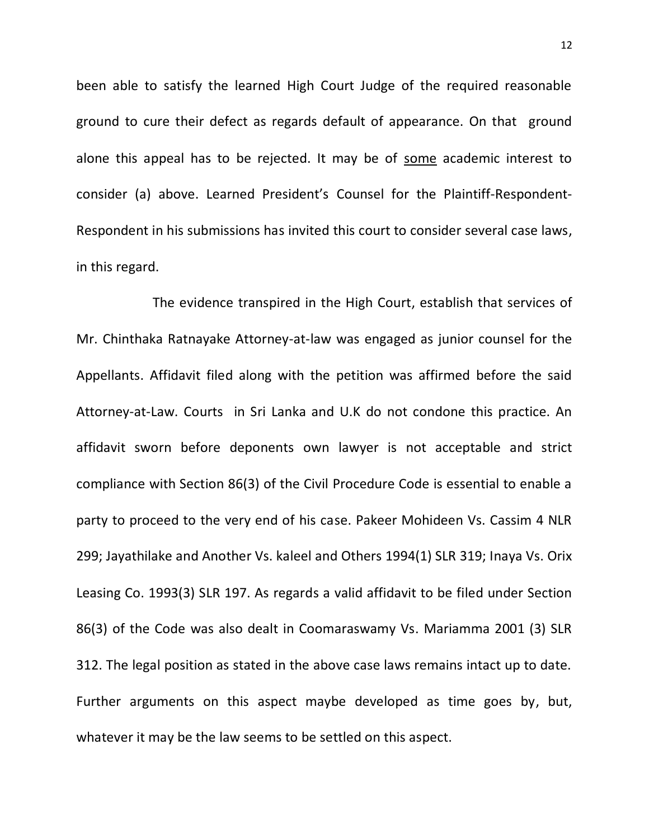been able to satisfy the learned High Court Judge of the required reasonable ground to cure their defect as regards default of appearance. On that ground alone this appeal has to be rejected. It may be of some academic interest to consider (a) above. Learned President's Counsel for the Plaintiff-Respondent-Respondent in his submissions has invited this court to consider several case laws, in this regard.

The evidence transpired in the High Court, establish that services of Mr. Chinthaka Ratnayake Attorney-at-law was engaged as junior counsel for the Appellants. Affidavit filed along with the petition was affirmed before the said Attorney-at-Law. Courts in Sri Lanka and U.K do not condone this practice. An affidavit sworn before deponents own lawyer is not acceptable and strict compliance with Section 86(3) of the Civil Procedure Code is essential to enable a party to proceed to the very end of his case. Pakeer Mohideen Vs. Cassim 4 NLR 299; Jayathilake and Another Vs. kaleel and Others 1994(1) SLR 319; Inaya Vs. Orix Leasing Co. 1993(3) SLR 197. As regards a valid affidavit to be filed under Section 86(3) of the Code was also dealt in Coomaraswamy Vs. Mariamma 2001 (3) SLR 312. The legal position as stated in the above case laws remains intact up to date. Further arguments on this aspect maybe developed as time goes by, but, whatever it may be the law seems to be settled on this aspect.